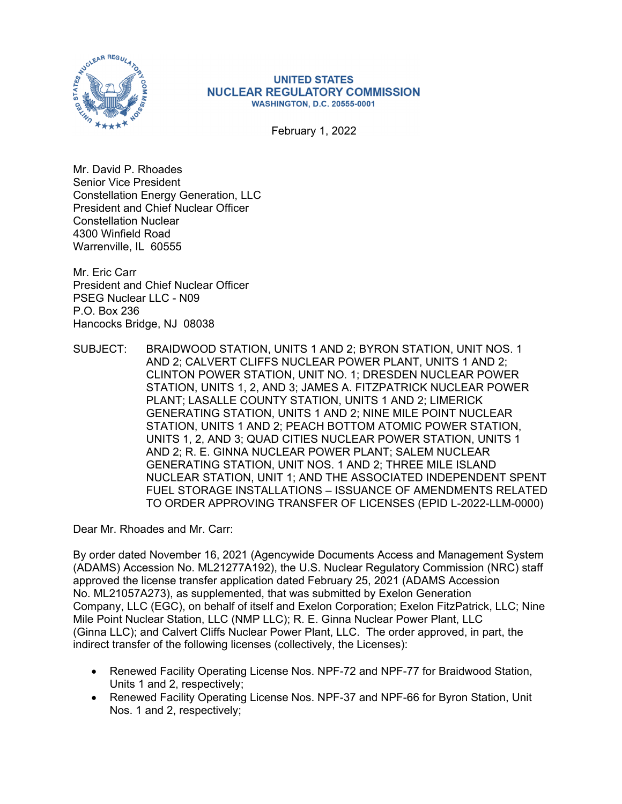

## **UNITED STATES NUCLEAR REGULATORY COMMISSION WASHINGTON, D.C. 20555-0001**

February 1, 2022

Mr. David P. Rhoades Senior Vice President Constellation Energy Generation, LLC President and Chief Nuclear Officer Constellation Nuclear 4300 Winfield Road Warrenville, IL 60555

Mr. Eric Carr President and Chief Nuclear Officer PSEG Nuclear LLC - N09 P.O. Box 236 Hancocks Bridge, NJ 08038

SUBJECT: BRAIDWOOD STATION, UNITS 1 AND 2; BYRON STATION, UNIT NOS. 1 AND 2; CALVERT CLIFFS NUCLEAR POWER PLANT, UNITS 1 AND 2; CLINTON POWER STATION, UNIT NO. 1; DRESDEN NUCLEAR POWER STATION, UNITS 1, 2, AND 3; JAMES A. FITZPATRICK NUCLEAR POWER PLANT; LASALLE COUNTY STATION, UNITS 1 AND 2; LIMERICK GENERATING STATION, UNITS 1 AND 2; NINE MILE POINT NUCLEAR STATION, UNITS 1 AND 2; PEACH BOTTOM ATOMIC POWER STATION, UNITS 1, 2, AND 3; QUAD CITIES NUCLEAR POWER STATION, UNITS 1 AND 2; R. E. GINNA NUCLEAR POWER PLANT; SALEM NUCLEAR GENERATING STATION, UNIT NOS. 1 AND 2; THREE MILE ISLAND NUCLEAR STATION, UNIT 1; AND THE ASSOCIATED INDEPENDENT SPENT FUEL STORAGE INSTALLATIONS – ISSUANCE OF AMENDMENTS RELATED TO ORDER APPROVING TRANSFER OF LICENSES (EPID L-2022-LLM-0000)

Dear Mr. Rhoades and Mr. Carr:

By order dated November 16, 2021 (Agencywide Documents Access and Management System (ADAMS) Accession No. ML21277A192), the U.S. Nuclear Regulatory Commission (NRC) staff approved the license transfer application dated February 25, 2021 (ADAMS Accession No. ML21057A273), as supplemented, that was submitted by Exelon Generation Company, LLC (EGC), on behalf of itself and Exelon Corporation; Exelon FitzPatrick, LLC; Nine Mile Point Nuclear Station, LLC (NMP LLC); R. E. Ginna Nuclear Power Plant, LLC (Ginna LLC); and Calvert Cliffs Nuclear Power Plant, LLC. The order approved, in part, the indirect transfer of the following licenses (collectively, the Licenses):

- Renewed Facility Operating License Nos. NPF-72 and NPF-77 for Braidwood Station, Units 1 and 2, respectively;
- Renewed Facility Operating License Nos. NPF-37 and NPF-66 for Byron Station, Unit Nos. 1 and 2, respectively;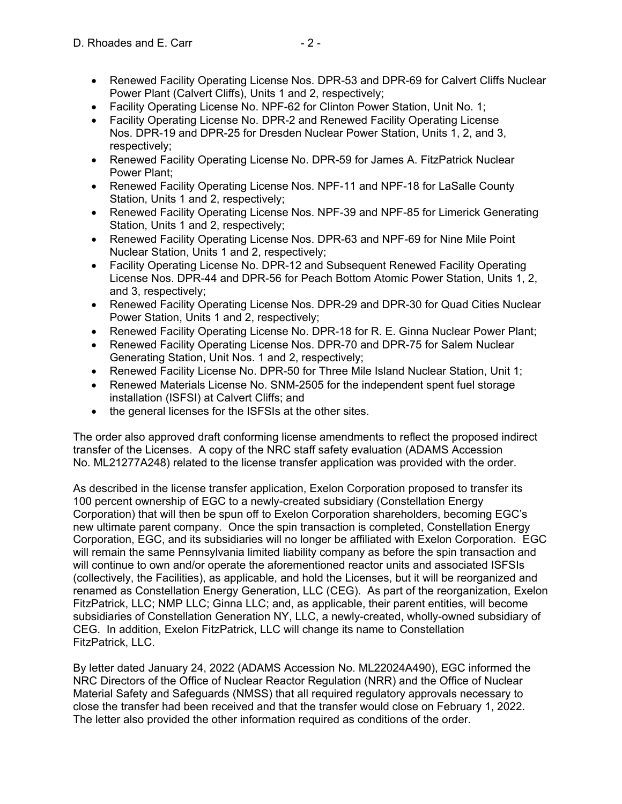- Renewed Facility Operating License Nos. DPR-53 and DPR-69 for Calvert Cliffs Nuclear Power Plant (Calvert Cliffs), Units 1 and 2, respectively;
- Facility Operating License No. NPF-62 for Clinton Power Station, Unit No. 1;
- Facility Operating License No. DPR-2 and Renewed Facility Operating License Nos. DPR-19 and DPR-25 for Dresden Nuclear Power Station, Units 1, 2, and 3, respectively;
- Renewed Facility Operating License No. DPR-59 for James A. FitzPatrick Nuclear Power Plant;
- Renewed Facility Operating License Nos. NPF-11 and NPF-18 for LaSalle County Station, Units 1 and 2, respectively;
- Renewed Facility Operating License Nos. NPF-39 and NPF-85 for Limerick Generating Station, Units 1 and 2, respectively;
- Renewed Facility Operating License Nos. DPR-63 and NPF-69 for Nine Mile Point Nuclear Station, Units 1 and 2, respectively;
- Facility Operating License No. DPR-12 and Subsequent Renewed Facility Operating License Nos. DPR-44 and DPR-56 for Peach Bottom Atomic Power Station, Units 1, 2, and 3, respectively;
- Renewed Facility Operating License Nos. DPR-29 and DPR-30 for Quad Cities Nuclear Power Station, Units 1 and 2, respectively;
- Renewed Facility Operating License No. DPR-18 for R. E. Ginna Nuclear Power Plant;
- Renewed Facility Operating License Nos. DPR-70 and DPR-75 for Salem Nuclear Generating Station, Unit Nos. 1 and 2, respectively;
- Renewed Facility License No. DPR-50 for Three Mile Island Nuclear Station, Unit 1;
- Renewed Materials License No. SNM-2505 for the independent spent fuel storage installation (ISFSI) at Calvert Cliffs; and
- the general licenses for the ISFSIs at the other sites.

The order also approved draft conforming license amendments to reflect the proposed indirect transfer of the Licenses. A copy of the NRC staff safety evaluation (ADAMS Accession No. ML21277A248) related to the license transfer application was provided with the order.

As described in the license transfer application, Exelon Corporation proposed to transfer its 100 percent ownership of EGC to a newly-created subsidiary (Constellation Energy Corporation) that will then be spun off to Exelon Corporation shareholders, becoming EGC's new ultimate parent company. Once the spin transaction is completed, Constellation Energy Corporation, EGC, and its subsidiaries will no longer be affiliated with Exelon Corporation. EGC will remain the same Pennsylvania limited liability company as before the spin transaction and will continue to own and/or operate the aforementioned reactor units and associated ISFSIs (collectively, the Facilities), as applicable, and hold the Licenses, but it will be reorganized and renamed as Constellation Energy Generation, LLC (CEG). As part of the reorganization, Exelon FitzPatrick, LLC; NMP LLC; Ginna LLC; and, as applicable, their parent entities, will become subsidiaries of Constellation Generation NY, LLC, a newly-created, wholly-owned subsidiary of CEG. In addition, Exelon FitzPatrick, LLC will change its name to Constellation FitzPatrick, LLC.

By letter dated January 24, 2022 (ADAMS Accession No. ML22024A490), EGC informed the NRC Directors of the Office of Nuclear Reactor Regulation (NRR) and the Office of Nuclear Material Safety and Safeguards (NMSS) that all required regulatory approvals necessary to close the transfer had been received and that the transfer would close on February 1, 2022. The letter also provided the other information required as conditions of the order.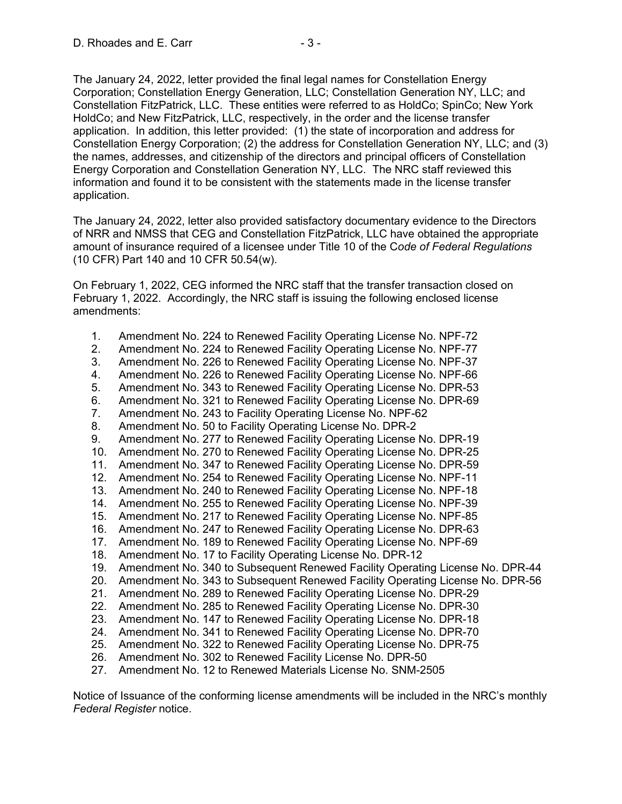The January 24, 2022, letter provided the final legal names for Constellation Energy Corporation; Constellation Energy Generation, LLC; Constellation Generation NY, LLC; and Constellation FitzPatrick, LLC. These entities were referred to as HoldCo; SpinCo; New York HoldCo; and New FitzPatrick, LLC, respectively, in the order and the license transfer application. In addition, this letter provided: (1) the state of incorporation and address for Constellation Energy Corporation; (2) the address for Constellation Generation NY, LLC; and (3) the names, addresses, and citizenship of the directors and principal officers of Constellation Energy Corporation and Constellation Generation NY, LLC. The NRC staff reviewed this information and found it to be consistent with the statements made in the license transfer application.

The January 24, 2022, letter also provided satisfactory documentary evidence to the Directors of NRR and NMSS that CEG and Constellation FitzPatrick, LLC have obtained the appropriate amount of insurance required of a licensee under Title 10 of the C*ode of Federal Regulations* (10 CFR) Part 140 and 10 CFR 50.54(w).

On February 1, 2022, CEG informed the NRC staff that the transfer transaction closed on February 1, 2022. Accordingly, the NRC staff is issuing the following enclosed license amendments:

- 1. Amendment No. 224 to Renewed Facility Operating License No. NPF-72
- 2. Amendment No. 224 to Renewed Facility Operating License No. NPF-77
- 3. Amendment No. 226 to Renewed Facility Operating License No. NPF-37
- 4. Amendment No. 226 to Renewed Facility Operating License No. NPF-66
- 5. Amendment No. 343 to Renewed Facility Operating License No. DPR-53
- 6. Amendment No. 321 to Renewed Facility Operating License No. DPR-69
- 7. Amendment No. 243 to Facility Operating License No. NPF-62
- 8. Amendment No. 50 to Facility Operating License No. DPR-2
- 9. Amendment No. 277 to Renewed Facility Operating License No. DPR-19
- 10. Amendment No. 270 to Renewed Facility Operating License No. DPR-25
- 11. Amendment No. 347 to Renewed Facility Operating License No. DPR-59
- 12. Amendment No. 254 to Renewed Facility Operating License No. NPF-11
- 13. Amendment No. 240 to Renewed Facility Operating License No. NPF-18
- 14. Amendment No. 255 to Renewed Facility Operating License No. NPF-39
- 15. Amendment No. 217 to Renewed Facility Operating License No. NPF-85
- 16. Amendment No. 247 to Renewed Facility Operating License No. DPR-63
- 17. Amendment No. 189 to Renewed Facility Operating License No. NPF-69
- 18. Amendment No. 17 to Facility Operating License No. DPR-12
- 19. Amendment No. 340 to Subsequent Renewed Facility Operating License No. DPR-44
- 20. Amendment No. 343 to Subsequent Renewed Facility Operating License No. DPR-56
- 21. Amendment No. 289 to Renewed Facility Operating License No. DPR-29
- 22. Amendment No. 285 to Renewed Facility Operating License No. DPR-30
- 23. Amendment No. 147 to Renewed Facility Operating License No. DPR-18
- 24. Amendment No. 341 to Renewed Facility Operating License No. DPR-70
- 25. Amendment No. 322 to Renewed Facility Operating License No. DPR-75
- 26. Amendment No. 302 to Renewed Facility License No. DPR-50
- 27. Amendment No. 12 to Renewed Materials License No. SNM-2505

Notice of Issuance of the conforming license amendments will be included in the NRC's monthly *Federal Register* notice.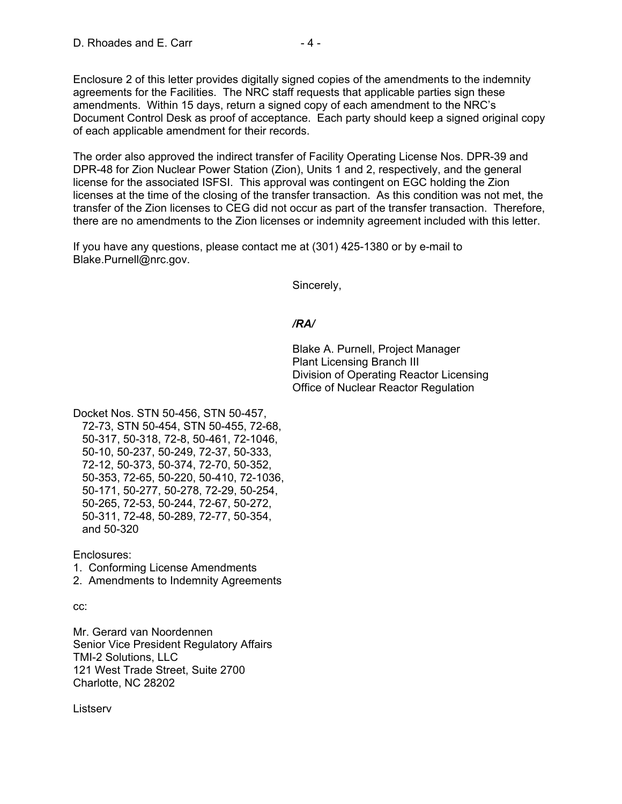Enclosure 2 of this letter provides digitally signed copies of the amendments to the indemnity agreements for the Facilities. The NRC staff requests that applicable parties sign these amendments. Within 15 days, return a signed copy of each amendment to the NRC's Document Control Desk as proof of acceptance. Each party should keep a signed original copy of each applicable amendment for their records.

The order also approved the indirect transfer of Facility Operating License Nos. DPR-39 and DPR-48 for Zion Nuclear Power Station (Zion), Units 1 and 2, respectively, and the general license for the associated ISFSI. This approval was contingent on EGC holding the Zion licenses at the time of the closing of the transfer transaction. As this condition was not met, the transfer of the Zion licenses to CEG did not occur as part of the transfer transaction. Therefore, there are no amendments to the Zion licenses or indemnity agreement included with this letter.

If you have any questions, please contact me at (301) 425-1380 or by e-mail to Blake.Purnell@nrc.gov.

Sincerely,

## */RA/*

Blake A. Purnell, Project Manager Plant Licensing Branch III Division of Operating Reactor Licensing Office of Nuclear Reactor Regulation

Docket Nos. STN 50-456, STN 50-457, 72-73, STN 50-454, STN 50-455, 72-68, 50-317, 50-318, 72-8, 50-461, 72-1046, 50-10, 50-237, 50-249, 72-37, 50-333, 72-12, 50-373, 50-374, 72-70, 50-352, 50-353, 72-65, 50-220, 50-410, 72-1036, 50-171, 50-277, 50-278, 72-29, 50-254, 50-265, 72-53, 50-244, 72-67, 50-272, 50-311, 72-48, 50-289, 72-77, 50-354, and 50-320

Enclosures:

1. Conforming License Amendments

2. Amendments to Indemnity Agreements

cc:

Mr. Gerard van Noordennen Senior Vice President Regulatory Affairs TMI-2 Solutions, LLC 121 West Trade Street, Suite 2700 Charlotte, NC 28202

Listserv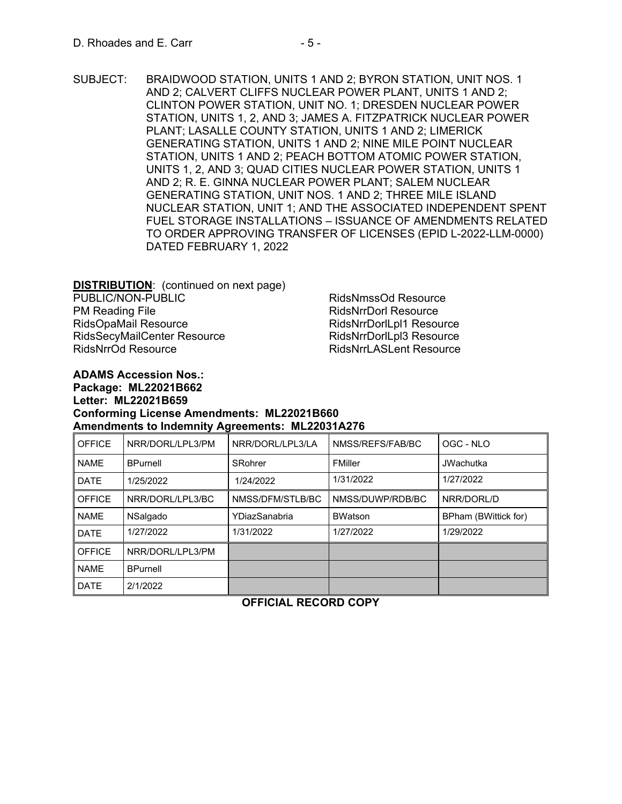SUBJECT: BRAIDWOOD STATION, UNITS 1 AND 2; BYRON STATION, UNIT NOS. 1 AND 2; CALVERT CLIFFS NUCLEAR POWER PLANT, UNITS 1 AND 2; CLINTON POWER STATION, UNIT NO. 1; DRESDEN NUCLEAR POWER STATION, UNITS 1, 2, AND 3; JAMES A. FITZPATRICK NUCLEAR POWER PLANT; LASALLE COUNTY STATION, UNITS 1 AND 2; LIMERICK GENERATING STATION, UNITS 1 AND 2; NINE MILE POINT NUCLEAR STATION, UNITS 1 AND 2; PEACH BOTTOM ATOMIC POWER STATION, UNITS 1, 2, AND 3; QUAD CITIES NUCLEAR POWER STATION, UNITS 1 AND 2; R. E. GINNA NUCLEAR POWER PLANT; SALEM NUCLEAR GENERATING STATION, UNIT NOS. 1 AND 2; THREE MILE ISLAND NUCLEAR STATION, UNIT 1; AND THE ASSOCIATED INDEPENDENT SPENT FUEL STORAGE INSTALLATIONS – ISSUANCE OF AMENDMENTS RELATED TO ORDER APPROVING TRANSFER OF LICENSES (EPID L-2022-LLM-0000) DATED FEBRUARY 1, 2022

**DISTRIBUTION**: (continued on next page) PUBLIC/NON-PUBLIC PM Reading File RidsOpaMail Resource RidsSecyMailCenter Resource RidsNrrOd Resource

RidsNmssOd Resource RidsNrrDorl Resource RidsNrrDorlLpl1 Resource RidsNrrDorlLpl3 Resource RidsNrrLASLent Resource

## **ADAMS Accession Nos.: Package: ML22021B662 Letter: ML22021B659 Conforming License Amendments: ML22021B660 Amendments to Indemnity Agreements: ML22031A276**

| <b>OFFICE</b> | NRR/DORL/LPL3/PM | NRR/DORL/LPL3/LA | NMSS/REFS/FAB/BC | OGC - NLO            |
|---------------|------------------|------------------|------------------|----------------------|
| <b>NAME</b>   | <b>BPurnell</b>  | SRohrer          | FMiller          | <b>JWachutka</b>     |
| <b>DATE</b>   | 1/25/2022        | 1/24/2022        | 1/31/2022        | 1/27/2022            |
| <b>OFFICE</b> | NRR/DORL/LPL3/BC | NMSS/DFM/STLB/BC | NMSS/DUWP/RDB/BC | NRR/DORL/D           |
| <b>NAME</b>   | NSalgado         | YDiazSanabria    | <b>BWatson</b>   | BPham (BWittick for) |
| <b>DATE</b>   | 1/27/2022        | 1/31/2022        | 1/27/2022        | 1/29/2022            |
| <b>OFFICE</b> | NRR/DORL/LPL3/PM |                  |                  |                      |
| <b>NAME</b>   | <b>BPurnell</b>  |                  |                  |                      |
| <b>DATE</b>   | 2/1/2022         |                  |                  |                      |

**OFFICIAL RECORD COPY**